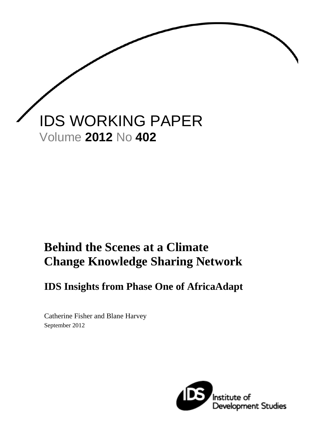

# **Behind the Scenes at a Climate Change Knowledge Sharing Network**

## **IDS Insights from Phase One of AfricaAdapt**

Catherine Fisher and Blane Harvey September 2012

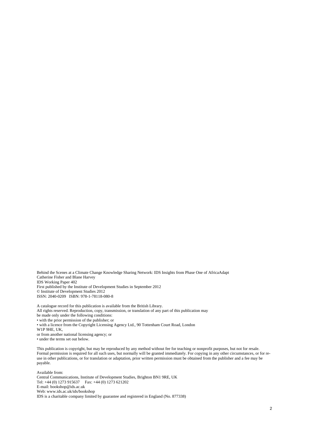Behind the Scenes at a Climate Change Knowledge Sharing Network: IDS Insights from Phase One of AfricaAdapt Catherine Fisher and Blane Harvey IDS Working Paper 402 First published by the Institute of Development Studies in September 2012 © Institute of Development Studies 2012 ISSN: 2040-0209 ISBN: 978-1-78118-080-8

A catalogue record for this publication is available from the British Library. All rights reserved. Reproduction, copy, transmission, or translation of any part of this publication may be made only under the following conditions: • with the prior permission of the publisher; or • with a licence from the Copyright Licensing Agency Ltd., 90 Tottenham Court Road, London W1P 9HE, UK,

or from another national licensing agency; or

• under the terms set out below.

This publication is copyright, but may be reproduced by any method without fee for teaching or nonprofit purposes, but not for resale. Formal permission is required for all such uses, but normally will be granted immediately. For copying in any other circumstances, or for reuse in other publications, or for translation or adaptation, prior written permission must be obtained from the publisher and a fee may be payable.

Available from: Central Communications, Institute of Development Studies, Brighton BN1 9RE, UK Tel: +44 (0) 1273 915637 Fax: +44 (0) 1273 621202 E-mail: bookshop@ids.ac.uk Web: www.ids.ac.uk/ids/bookshop IDS is a charitable company limited by guarantee and registered in England (No. 877338)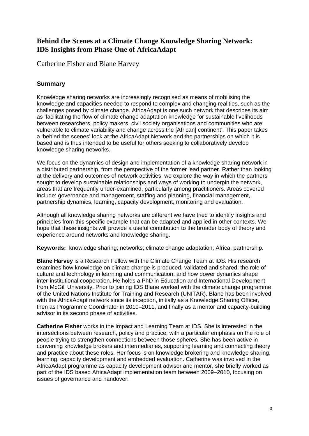## **Behind the Scenes at a Climate Change Knowledge Sharing Network: IDS Insights from Phase One of AfricaAdapt**

Catherine Fisher and Blane Harvey

## **Summary**

Knowledge sharing networks are increasingly recognised as means of mobilising the knowledge and capacities needed to respond to complex and changing realities, such as the challenges posed by climate change. AfricaAdapt is one such network that describes its aim as 'facilitating the flow of climate change adaptation knowledge for sustainable livelihoods between researchers, policy makers, civil society organisations and communities who are vulnerable to climate variability and change across the [African] continent'. This paper takes a 'behind the scenes' look at the AfricaAdapt Network and the partnerships on which it is based and is thus intended to be useful for others seeking to collaboratively develop knowledge sharing networks.

We focus on the dynamics of design and implementation of a knowledge sharing network in a distributed partnership, from the perspective of the former lead partner. Rather than looking at the delivery and outcomes of network activities, we explore the way in which the partners sought to develop sustainable relationships and ways of working to underpin the network, areas that are frequently under-examined, particularly among practitioners. Areas covered include: governance and management, staffing and planning, financial management, partnership dynamics, learning, capacity development, monitoring and evaluation.

Although all knowledge sharing networks are different we have tried to identify insights and principles from this specific example that can be adapted and applied in other contexts. We hope that these insights will provide a useful contribution to the broader body of theory and experience around networks and knowledge sharing.

**Keywords:** knowledge sharing; networks; climate change adaptation; Africa; partnership.

**Blane Harvey** is a Research Fellow with the Climate Change Team at IDS. His research examines how knowledge on climate change is produced, validated and shared; the role of culture and technology in learning and communication; and how power dynamics shape inter-institutional cooperation. He holds a PhD in Education and International Development from McGill University. Prior to joining IDS Blane worked with the climate change programme of the United Nations Institute for Training and Research (UNITAR). Blane has been involved with the AfricaAdapt network since its inception, initially as a Knowledge Sharing Officer, then as Programme Coordinator in 2010–2011, and finally as a mentor and capacity-building advisor in its second phase of activities.

**Catherine Fisher** works in the Impact and Learning Team at IDS. She is interested in the intersections between research, policy and practice, with a particular emphasis on the role of people trying to strengthen connections between those spheres. She has been active in convening knowledge brokers and intermediaries, supporting learning and connecting theory and practice about these roles. Her focus is on knowledge brokering and knowledge sharing, learning, capacity development and embedded evaluation. Catherine was involved in the AfricaAdapt programme as capacity development advisor and mentor, she briefly worked as part of the IDS based AfricaAdapt implementation team between 2009–2010, focusing on issues of governance and handover.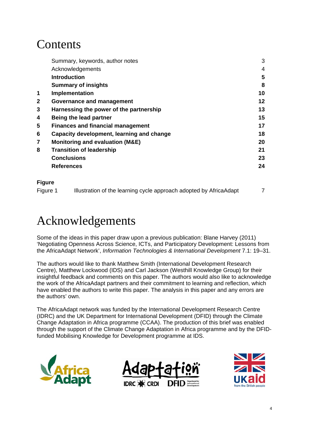## **Contents**

|   | Summary, keywords, author notes            | 3  |
|---|--------------------------------------------|----|
|   | Acknowledgements                           | 4  |
|   | <b>Introduction</b>                        | 5  |
|   | <b>Summary of insights</b>                 | 8  |
| 1 | Implementation                             | 10 |
| 2 | <b>Governance and management</b>           | 12 |
| 3 | Harnessing the power of the partnership    | 13 |
| 4 | Being the lead partner                     | 15 |
| 5 | <b>Finances and financial management</b>   | 17 |
| 6 | Capacity development, learning and change  | 18 |
| 7 | <b>Monitoring and evaluation (M&amp;E)</b> | 20 |
| 8 | <b>Transition of leadership</b>            | 21 |
|   | <b>Conclusions</b>                         | 23 |
|   | <b>References</b>                          | 24 |
|   |                                            |    |

### **Figure**

Figure 1 Illustration of the learning cycle approach adopted by AfricaAdapt 7

## Acknowledgements

Some of the ideas in this paper draw upon a previous publication: Blane Harvey (2011) 'Negotiating Openness Across Science, ICTs, and Participatory Development: Lessons from the AfricaAdapt Network', *Information Technologies & International Development* 7.1: 19–31.

The authors would like to thank Matthew Smith (International Development Research Centre), Matthew Lockwood (IDS) and Carl Jackson (Westhill Knowledge Group) for their insightful feedback and comments on this paper. The authors would also like to acknowledge the work of the AfricaAdapt partners and their commitment to learning and reflection, which have enabled the authors to write this paper. The analysis in this paper and any errors are the authors' own.

The AfricaAdapt network was funded by the International Development Research Centre (IDRC) and the UK Department for International Development (DFID) through the Climate Change Adaptation in Africa programme (CCAA). The production of this brief was enabled through the support of the Climate Change Adaptation in Africa programme and by the DFIDfunded Mobilising Knowledge for Development programme at IDS.





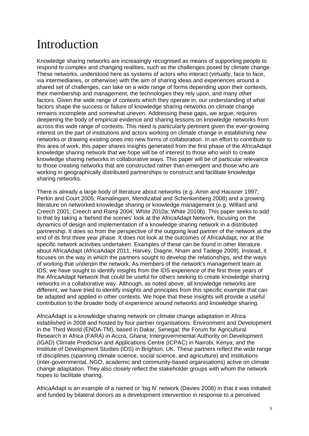## Introduction

Knowledge sharing networks are increasingly recognised as means of supporting people to respond to complex and changing realities, such as the challenges posed by climate change. These networks, understood here as systems of actors who interact (virtually, face to face, via intermediaries, or otherwise) with the aim of sharing ideas and experiences around a shared set of challenges, can take on a wide range of forms depending upon their contexts, their membership and management, the technologies they rely upon, and many other factors. Given the wide range of contexts which they operate in, our understanding of what factors shape the success or failure of knowledge sharing networks on climate change remains incomplete and somewhat uneven. Addressing these gaps, we argue, requires deepening the body of empirical evidence and sharing lessons on knowledge networks from across this wide range of contexts. This need is particularly pertinent given the ever-growing interest on the part of institutions and actors working on climate change in establishing new networks or drawing existing ones into new forms of collaboration. In an effort to contribute to this area of work, this paper shares insights generated from the first phase of the AfricaAdapt knowledge sharing network that we hope will be of interest to those who wish to create knowledge sharing networks in collaborative ways. This paper will be of particular relevance to those creating networks that are constructed rather than emergent and those who are working in geographically distributed partnerships to construct and facilitate knowledge sharing networks.

There is already a large body of literature about networks (e.g. Amin and Hausner 1997; Perkin and Court 2005; Ramalingam, Mendizabal and Schenkenberg 2008) and a growing literature on networked knowledge sharing or knowledge management (e.g. Willard and Creech 2001; Creech and Ramji 2004; White 2010a; White 2010b). This paper seeks to add to that by taking a 'behind the scenes' look at the AfricaAdapt Network, focusing on the dynamics of design and implementation of a knowledge sharing network in a distributed partnership. It does so from the perspective of the outgoing lead partner of the network at the end of its first three year phase. It does not look at the outcomes of AfricaAdapt, nor at the specific network activities undertaken. Examples of these can be found in other literature about AfricaAdapt (AfricaAdapt 2011; Harvey, Diagne, Nnam and Tadege 2009). Instead, it focuses on the way in which the partners sought to develop the relationships, and the ways of working that underpin the network. As members of the network's management team at IDS, we have sought to identify insights from the IDS experience of the first three years of the AfricaAdapt Network that could be useful for others seeking to create knowledge sharing networks in a collaborative way. Although, as noted above, all knowledge networks are different, we have tried to identify insights and principles from this specific example that can be adapted and applied in other contexts. We hope that these insights will provide a useful contribution to the broader body of experience around networks and knowledge sharing.

AfricaAdapt is a knowledge sharing network on climate change adaptation in Africa established in 2008 and hosted by four partner organisations: Environment and Development in the Third World (ENDA-TM), based in Dakar, Senegal; the Forum for Agricultural Research in Africa (FARA) in Accra, Ghana; Intergovernmental Authority on Development (IGAD) Climate Prediction and Applications Centre (ICPAC) in Nairobi, Kenya; and the Institute of Development Studies (IDS) in Brighton, UK. These partners reflect the wide range of disciplines (spanning climate science, social science, and agriculture) and institutions (inter-governmental, NGO, academic and community-based organisations) active on climate change adaptation. They also closely reflect the stakeholder groups with whom the network hopes to facilitate sharing.

AfricaAdapt is an example of a named or 'big N' network (Davies 2008) in that it was initiated and funded by bilateral donors as a development intervention in response to a perceived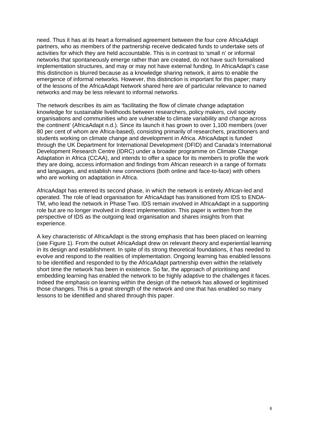need. Thus it has at its heart a formalised agreement between the four core AfricaAdapt partners, who as members of the partnership receive dedicated funds to undertake sets of activities for which they are held accountable. This is in contrast to 'small n' or informal networks that spontaneously emerge rather than are created, do not have such formalised implementation structures, and may or may not have external funding. In AfricaAdapt's case this distinction is blurred because as a knowledge sharing network, it aims to enable the emergence of informal networks. However, this distinction is important for this paper; many of the lessons of the AfricaAdapt Network shared here are of particular relevance to named networks and may be less relevant to informal networks.

The network describes its aim as 'facilitating the flow of climate change adaptation knowledge for sustainable livelihoods between researchers, policy makers, civil society organisations and communities who are vulnerable to climate variability and change across the continent' (AfricaAdapt n.d.). Since its launch it has grown to over 1,100 members (over 80 per cent of whom are Africa-based), consisting primarily of researchers, practitioners and students working on climate change and development in Africa. AfricaAdapt is funded through the UK Department for International Development (DFID) and Canada's International Development Research Centre (IDRC) under a broader programme on Climate Change Adaptation in Africa (CCAA), and intends to offer a space for its members to profile the work they are doing, access information and findings from African research in a range of formats and languages, and establish new connections (both online and face-to-face) with others who are working on adaptation in Africa.

AfricaAdapt has entered its second phase, in which the network is entirely African-led and operated. The role of lead organisation for AfricaAdapt has transitioned from IDS to ENDA-TM, who lead the network in Phase Two. IDS remain involved in AfricaAdapt in a supporting role but are no longer involved in direct implementation. This paper is written from the perspective of IDS as the outgoing lead organisation and shares insights from that experience.

A key characteristic of AfricaAdapt is the strong emphasis that has been placed on learning (see Figure 1). From the outset AfricaAdapt drew on relevant theory and experiential learning in its design and establishment. In spite of its strong theoretical foundations, it has needed to evolve and respond to the realities of implementation. Ongoing learning has enabled lessons to be identified and responded to by the AfricaAdapt partnership even within the relatively short time the network has been in existence. So far, the approach of prioritising and embedding learning has enabled the network to be highly adaptive to the challenges it faces. Indeed the emphasis on learning within the design of the network has allowed or legitimised those changes. This is a great strength of the network and one that has enabled so many lessons to be identified and shared through this paper.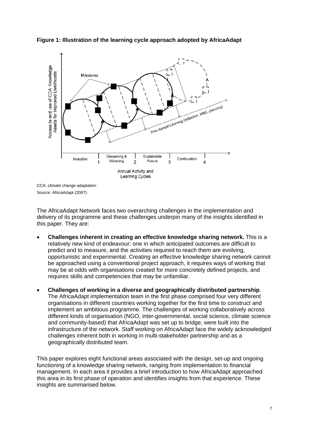

**Figure 1: Illustration of the learning cycle approach adopted by AfricaAdapt** 

CCA: climate change adaptation Source: AfricaAdapt (2007)

The AfricaAdapt Network faces two overarching challenges in the implementation and delivery of its programme and these challenges underpin many of the insights identified in this paper. They are:

- **Challenges inherent in creating an effective knowledge sharing network.** This is a relatively new kind of endeavour: one in which anticipated outcomes are difficult to predict and to measure, and the activities required to reach them are evolving, opportunistic and experimental. Creating an effective knowledge sharing network cannot be approached using a conventional project approach, it requires ways of working that may be at odds with organisations created for more concretely defined projects, and requires skills and competencies that may be unfamiliar.
- **Challenges of working in a diverse and geographically distributed partnership**. The AfricaAdapt implementation team in the first phase comprised four very different organisations in different countries working together for the first time to construct and implement an ambitious programme. The challenges of working collaboratively across different kinds of organisation (NGO, inter-governmental, social science, climate science and community-based) that AfricaAdapt was set up to bridge, were built into the infrastructure of the network. Staff working on AfricaAdapt face the widely acknowledged challenges inherent both in working in multi-stakeholder partnership and as a geographically distributed team.

This paper explores eight functional areas associated with the design, set-up and ongoing functioning of a knowledge sharing network, ranging from implementation to financial management. In each area it provides a brief introduction to how AfricaAdapt approached this area in its first phase of operation and identifies insights from that experience. These insights are summarised below.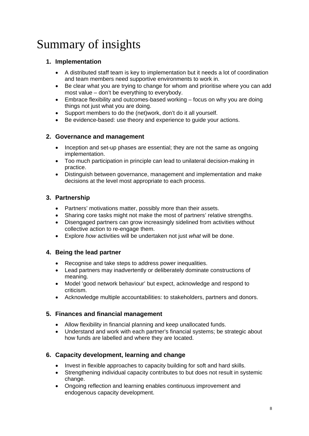# Summary of insights

## **1. Implementation**

- A distributed staff team is key to implementation but it needs a lot of coordination and team members need supportive environments to work in.
- Be clear what you are trying to change for whom and prioritise where you can add most value – don't be everything to everybody.
- Embrace flexibility and outcomes-based working focus on why you are doing things not just what you are doing.
- Support members to do the (net)work, don't do it all yourself.
- Be evidence-based: use theory and experience to guide your actions.

### **2. Governance and management**

- Inception and set-up phases are essential; they are not the same as ongoing implementation.
- Too much participation in principle can lead to unilateral decision-making in practice.
- Distinguish between governance, management and implementation and make decisions at the level most appropriate to each process.

## **3. Partnership**

- Partners' motivations matter, possibly more than their assets.
- Sharing core tasks might not make the most of partners' relative strengths.
- Disengaged partners can grow increasingly sidelined from activities without collective action to re-engage them.
- Explore *how* activities will be undertaken not just *what* will be done.

## **4. Being the lead partner**

- Recognise and take steps to address power inequalities.
- Lead partners may inadvertently or deliberately dominate constructions of meaning.
- Model 'good network behaviour' but expect, acknowledge and respond to criticism.
- Acknowledge multiple accountabilities: to stakeholders, partners and donors.

#### **5. Finances and financial management**

- Allow flexibility in financial planning and keep unallocated funds.
- Understand and work with each partner's financial systems; be strategic about how funds are labelled and where they are located.

## **6. Capacity development, learning and change**

- Invest in flexible approaches to capacity building for soft and hard skills.
- Strengthening individual capacity contributes to but does not result in systemic change.
- Ongoing reflection and learning enables continuous improvement and endogenous capacity development.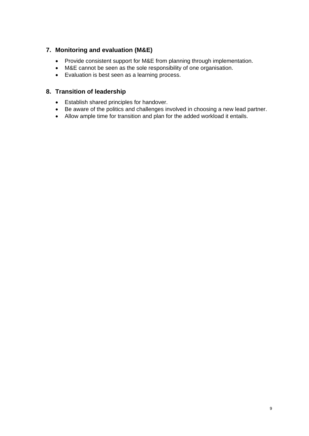## **7. Monitoring and evaluation (M&E)**

- Provide consistent support for M&E from planning through implementation.
- M&E cannot be seen as the sole responsibility of one organisation.
- Evaluation is best seen as a learning process.

## **8. Transition of leadership**

- Establish shared principles for handover.
- Be aware of the politics and challenges involved in choosing a new lead partner.
- Allow ample time for transition and plan for the added workload it entails.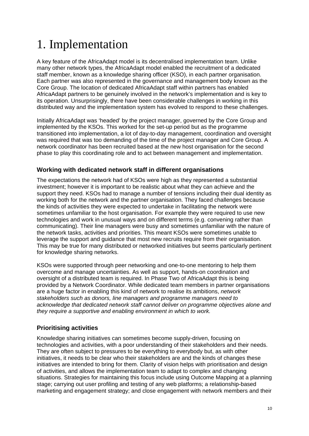# 1. Implementation

A key feature of the AfricaAdapt model is its decentralised implementation team. Unlike many other network types, the AfricaAdapt model enabled the recruitment of a dedicated staff member, known as a knowledge sharing officer (KSO), in each partner organisation. Each partner was also represented in the governance and management body known as the Core Group. The location of dedicated AfricaAdapt staff within partners has enabled AfricaAdapt partners to be genuinely involved in the network's implementation and is key to its operation. Unsurprisingly, there have been considerable challenges in working in this distributed way and the implementation system has evolved to respond to these challenges.

Initially AfricaAdapt was 'headed' by the project manager, governed by the Core Group and implemented by the KSOs. This worked for the set-up period but as the programme transitioned into implementation, a lot of day-to-day management, coordination and oversight was required that was too demanding of the time of the project manager and Core Group. A network coordinator has been recruited based at the new host organisation for the second phase to play this coordinating role and to act between management and implementation.

### **Working with dedicated network staff in different organisations**

The expectations the network had of KSOs were high as they represented a substantial investment; however it is important to be realistic about what they can achieve and the support they need. KSOs had to manage a number of tensions including their dual identity as working both for the network and the partner organisation. They faced challenges because the kinds of activities they were expected to undertake in facilitating the network were sometimes unfamiliar to the host organisation. For example they were required to use new technologies and work in unusual ways and on different terms (e.g. convening rather than communicating). Their line managers were busy and sometimes unfamiliar with the nature of the network tasks, activities and priorities. This meant KSOs were sometimes unable to leverage the support and guidance that most new recruits require from their organisation. This may be true for many distributed or networked initiatives but seems particularly pertinent for knowledge sharing networks.

KSOs were supported through peer networking and one-to-one mentoring to help them overcome and manage uncertainties. As well as support, hands-on coordination and oversight of a distributed team is required. In Phase Two of AfricaAdapt this is being provided by a Network Coordinator. While dedicated team members in partner organisations are a huge factor in enabling this kind of network to realise its ambitions, *network stakeholders such as donors, line managers and programme managers need to acknowledge that dedicated network staff cannot deliver on programme objectives alone and they require a supportive and enabling environment in which to work.*

#### **Prioritising activities**

Knowledge sharing initiatives can sometimes become supply-driven, focusing on technologies and activities, with a poor understanding of their stakeholders and their needs. They are often subject to pressures to be everything to everybody but, as with other initiatives, it needs to be clear who their stakeholders are and the kinds of changes these initiatives are intended to bring for them. Clarity of vision helps with prioritisation and design of activities, and allows the implementation team to adapt to complex and changing situations. Strategies for maintaining this focus include using Outcome Mapping at a planning stage; carrying out user profiling and testing of any web platforms; a relationship-based marketing and engagement strategy; and close engagement with network members and their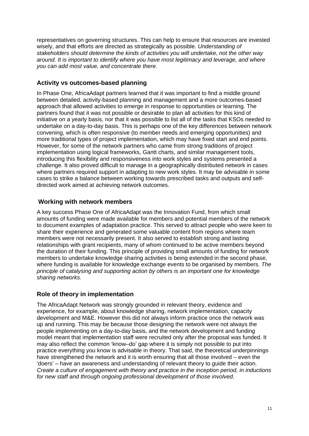representatives on governing structures. This can help to ensure that resources are invested wisely, and that efforts are directed as strategically as possible. *Understanding of stakeholders should determine the kinds of activities you will undertake, not the other way around. It is important to identify where you have most legitimacy and leverage, and where you can add most value, and concentrate there.*

## **Activity vs outcomes-based planning**

In Phase One, AfricaAdapt partners learned that it was important to find a middle ground between detailed, activity-based planning and management and a more outcomes-based approach that allowed activities to emerge in response to opportunities or learning. The partners found that it was not possible or desirable to plan all activities for this kind of initiative on a yearly basis, nor that it was possible to list all of the tasks that KSOs needed to undertake on a day-to-day basis. This is perhaps one of the key differences between network convening, which is often responsive (to member needs and emerging opportunities) and more traditional types of project implementation, which may have fixed start and end points. However, for some of the network partners who came from strong traditions of project implementation using logical frameworks, Gantt charts, and similar management tools, introducing this flexibility and responsiveness into work styles and systems presented a challenge. It also proved difficult to manage in a geographically distributed network in cases where partners required support in adapting to new work styles. It may be advisable in some cases to strike a balance between working towards prescribed tasks and outputs and selfdirected work aimed at achieving network outcomes.

### **Working with network members**

A key success Phase One of AfricaAdapt was the Innovation Fund, from which small amounts of funding were made available for members and potential members of the network to document examples of adaptation practice. This served to attract people who were keen to share their experience and generated some valuable content from regions where team members were not necessarily present. It also served to establish strong and lasting relationships with grant recipients, many of whom continued to be active members beyond the duration of their funding. This principle of providing small amounts of funding for network members to undertake knowledge sharing activities is being extended in the second phase, where funding is available for knowledge exchange events to be organised by members. *The principle of catalysing and supporting action by others is an important one for knowledge sharing networks.*

#### **Role of theory in implementation**

The AfricaAdapt Network was strongly grounded in relevant theory, evidence and experience, for example, about knowledge sharing, network implementation, capacity development and M&E. However this did not always inform practice once the network was up and running. This may be because those designing the network were not always the people implementing on a day-to-day basis, and the network development and funding model meant that implementation staff were recruited only after the proposal was funded. It may also reflect the common 'know–do' gap where it is simply not possible to put into practice everything you know is advisable in theory. That said, the theoretical underpinnings have strengthened the network and it is worth ensuring that all those involved – even the 'doers' – have an awareness and understanding of relevant theory to guide their action. *Create a culture of engagement with theory and practice in the inception period, in inductions for new staff and through ongoing professional development of those involved.*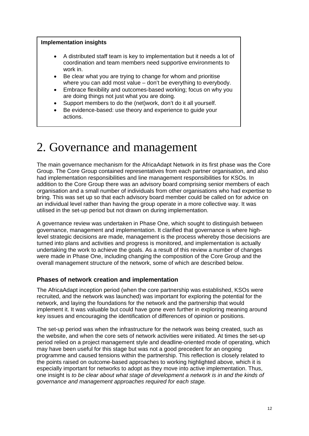#### **Implementation insights**

- A distributed staff team is key to implementation but it needs a lot of coordination and team members need supportive environments to work in.
- Be clear what you are trying to change for whom and prioritise where you can add most value – don't be everything to everybody.
- Embrace flexibility and outcomes-based working; focus on why you are doing things not just what you are doing.
- Support members to do the (net)work, don't do it all yourself.
- Be evidence-based: use theory and experience to guide your actions.

## 2. Governance and management

The main governance mechanism for the AfricaAdapt Network in its first phase was the Core Group. The Core Group contained representatives from each partner organisation, and also had implementation responsibilities and line management responsibilities for KSOs. In addition to the Core Group there was an advisory board comprising senior members of each organisation and a small number of individuals from other organisations who had expertise to bring. This was set up so that each advisory board member could be called on for advice on an individual level rather than having the group operate in a more collective way. It was utilised in the set-up period but not drawn on during implementation.

A governance review was undertaken in Phase One, which sought to distinguish between governance, management and implementation. It clarified that governance is where highlevel strategic decisions are made, management is the process whereby those decisions are turned into plans and activities and progress is monitored, and implementation is actually undertaking the work to achieve the goals. As a result of this review a number of changes were made in Phase One, including changing the composition of the Core Group and the overall management structure of the network, some of which are described below.

#### **Phases of network creation and implementation**

The AfricaAdapt inception period (when the core partnership was established, KSOs were recruited, and the network was launched) was important for exploring the potential for the network, and laying the foundations for the network and the partnership that would implement it. It was valuable but could have gone even further in exploring meaning around key issues and encouraging the identification of differences of opinion or positions.

The set-up period was when the infrastructure for the network was being created, such as the website, and when the core sets of network activities were initiated. At times the set-up period relied on a project management style and deadline-oriented mode of operating, which may have been useful for this stage but was not a good precedent for an ongoing programme and caused tensions within the partnership. This reflection is closely related to the points raised on outcome-based approaches to working highlighted above, which it is especially important for networks to adopt as they move into active implementation. Thus, one insight is *to be clear about what stage of development a network is in and the kinds of governance and management approaches required for each stage.*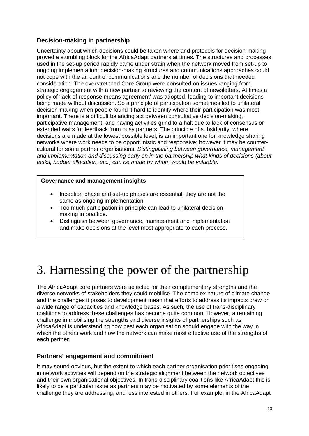## **Decision-making in partnership**

Uncertainty about which decisions could be taken where and protocols for decision-making proved a stumbling block for the AfricaAdapt partners at times. The structures and processes used in the set-up period rapidly came under strain when the network moved from set-up to ongoing implementation; decision-making structures and communications approaches could not cope with the amount of communications and the number of decisions that needed consideration. The overstretched Core Group were consulted on issues ranging from strategic engagement with a new partner to reviewing the content of newsletters. At times a policy of 'lack of response means agreement' was adopted, leading to important decisions being made without discussion. So a principle of participation sometimes led to unilateral decision-making when people found it hard to identify where their participation was most important. There is a difficult balancing act between consultative decision-making, participative management, and having activities grind to a halt due to lack of consensus or extended waits for feedback from busy partners. The principle of subsidiarity, where decisions are made at the lowest possible level, is an important one for knowledge sharing networks where work needs to be opportunistic and responsive; however it may be countercultural for some partner organisations. *Distinguishing between governance, management and implementation and discussing early on in the partnership what kinds of decisions (about tasks, budget allocation, etc.) can be made by whom would be valuable.* 

#### **Governance and management insights**

- Inception phase and set-up phases are essential; they are not the same as ongoing implementation.
- Too much participation in principle can lead to unilateral decisionmaking in practice.
- Distinguish between governance, management and implementation and make decisions at the level most appropriate to each process.

# 3. Harnessing the power of the partnership

The AfricaAdapt core partners were selected for their complementary strengths and the diverse networks of stakeholders they could mobilise. The complex nature of climate change and the challenges it poses to development mean that efforts to address its impacts draw on a wide range of capacities and knowledge bases. As such, the use of trans-disciplinary coalitions to address these challenges has become quite common. However, a remaining challenge in mobilising the strengths and diverse insights of partnerships such as AfricaAdapt is understanding how best each organisation should engage with the way in which the others work and how the network can make most effective use of the strengths of each partner.

#### **Partners' engagement and commitment**

It may sound obvious, but the extent to which each partner organisation prioritises engaging in network activities will depend on the strategic alignment between the network objectives and their own organisational objectives. In trans-disciplinary coalitions like AfricaAdapt this is likely to be a particular issue as partners may be motivated by some elements of the challenge they are addressing, and less interested in others. For example, in the AfricaAdapt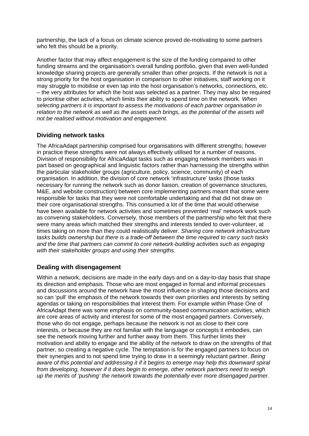partnership, the lack of a focus on climate science proved de-motivating to some partners who felt this should be a priority.

Another factor that may affect engagement is the size of the funding compared to other funding streams and the organisation's overall funding portfolio, given that even well-funded knowledge sharing projects are generally smaller than other projects. If the network is not a strong priority for the host organisation in comparison to other initiatives, staff working on it may struggle to mobilise or even tap into the host organisation's networks, connections, etc. – the very attributes for which the host was selected as a partner. They may also be required to prioritise other activities, which limits their ability to spend time on the network. *When selecting partners it is important to assess the motivations of each partner organisation in relation to the network as well as the assets each brings, as the potential of the assets will not be realised without motivation and engagement.*

### **Dividing network tasks**

The AfricaAdapt partnership comprised four organisations with different strengths; however in practice these strengths were not always effectively utilised for a number of reasons. Division of responsibility for AfricaAdapt tasks such as engaging network members was in part based on geographical and linguistic factors rather than harnessing the strengths within the particular stakeholder groups (agriculture, policy, science, community) of each organisation. In addition, the division of core network 'infrastructure' tasks (those tasks necessary for running the network such as donor liaison, creation of governance structures, M&E, and website construction) between core implementing partners meant that some were responsible for tasks that they were not comfortable undertaking and that did not draw on their core organisational strengths. This consumed a lot of the time that would otherwise have been available for network activities and sometimes prevented 'real' network work such as convening stakeholders. Conversely, those members of the partnership who felt that there were many areas which matched their strengths and interests tended to over-volunteer, at times taking on more than they could realistically deliver. *Sharing core network infrastructure tasks builds ownership but there is a trade-off between the time required to carry such tasks and the time that partners can commit to core network-building activities such as engaging with their stakeholder groups and using their strengths.*

## **Dealing with disengagement**

Within a network, decisions are made in the early days and on a day-to-day basis that shape its direction and emphasis. Those who are most engaged in formal and informal processes and discussions around the network have the most influence in shaping those decisions and so can 'pull' the emphasis of the network towards their own priorities and interests by setting agendas or taking on responsibilities that interest them. For example within Phase One of AfricaAdapt there was some emphasis on community-based communication activities, which are core areas of activity and interest for some of the most engaged partners. Conversely, those who do not engage, perhaps because the network is not as close to their core interests, or because they are not familiar with the language or concepts it embodies, can see the network moving further and further away from them. This further limits their motivation and ability to engage and the ability of the network to draw on the strengths of that partner, so creating a negative cycle. The temptation is for the engaged partners to focus on their synergies and to not spend time trying to draw in a seemingly reluctant partner. *Being aware of this potential and addressing it if it begins to emerge may help this downward spiral from developing, however if it does begin to emerge, other network partners need to weigh up the merits of 'pushing' the network towards the potentially ever more disengaged partner.*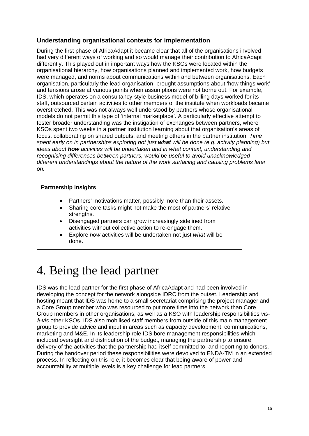## **Understanding organisational contexts for implementation**

During the first phase of AfricaAdapt it became clear that all of the organisations involved had very different ways of working and so would manage their contribution to AfricaAdapt differently. This played out in important ways how the KSOs were located within the organisational hierarchy, how organisations planned and implemented work, how budgets were managed, and norms about communications within and between organisations. Each organisation, particularly the lead organisation, brought assumptions about 'how things work' and tensions arose at various points when assumptions were not borne out. For example, IDS, which operates on a consultancy-style business model of billing days worked for its staff, outsourced certain activities to other members of the institute when workloads became overstretched. This was not always well understood by partners whose organisational models do not permit this type of 'internal marketplace'. A particularly effective attempt to foster broader understanding was the instigation of exchanges between partners, where KSOs spent two weeks in a partner institution learning about that organisation's areas of focus, collaborating on shared outputs, and meeting others in the partner institution. *Time spent early on in partnerships exploring not just what will be done (e.g. activity planning) but ideas about how activities will be undertaken and in what context, understanding and recognising differences between partners, would be useful to avoid unacknowledged different understandings about the nature of the work surfacing and causing problems later on.*

#### **Partnership insights**

- Partners' motivations matter, possibly more than their assets.
- Sharing core tasks might not make the most of partners' relative strengths.
- Disengaged partners can grow increasingly sidelined from activities without collective action to re-engage them.
- Explore *how* activities will be undertaken not just *what* will be done.

# 4. Being the lead partner

IDS was the lead partner for the first phase of AfricaAdapt and had been involved in developing the concept for the network alongside IDRC from the outset. Leadership and hosting meant that IDS was home to a small secretariat comprising the project manager and a Core Group member who was resourced to put more time into the network than Core Group members in other organisations, as well as a KSO with leadership responsibilities *visà-vis* other KSOs. IDS also mobilised staff members from outside of this main management group to provide advice and input in areas such as capacity development, communications, marketing and M&E. In its leadership role IDS bore management responsibilities which included oversight and distribution of the budget, managing the partnership to ensure delivery of the activities that the partnership had itself committed to, and reporting to donors. During the handover period these responsibilities were devolved to ENDA-TM in an extended process. In reflecting on this role, it becomes clear that being aware of power and accountability at multiple levels is a key challenge for lead partners.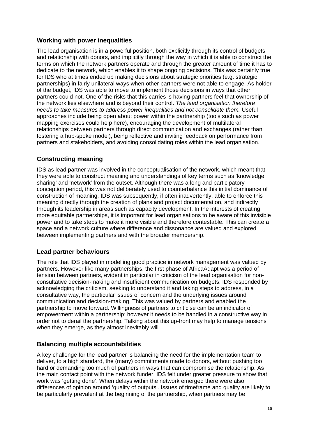### **Working with power inequalities**

The lead organisation is in a powerful position, both explicitly through its control of budgets and relationship with donors, and implicitly through the way in which it is able to construct the terms on which the network partners operate and through the greater amount of time it has to dedicate to the network, which enables it to shape ongoing decisions. This was certainly true for IDS who at times ended up making decisions about strategic priorities (e.g. strategic partnerships) in fairly unilateral ways when other partners were not able to engage. As holder of the budget, IDS was able to move to implement those decisions in ways that other partners could not. One of the risks that this carries is having partners feel that ownership of the network lies elsewhere and is beyond their control. *The lead organisation therefore needs to take measures to address power inequalities and not consolidate them.* Useful approaches include being open about power within the partnership (tools such as power mapping exercises could help here), encouraging the development of multilateral relationships between partners through direct communication and exchanges (rather than fostering a hub-spoke model), being reflective and inviting feedback on performance from partners and stakeholders, and avoiding consolidating roles within the lead organisation.

## **Constructing meaning**

IDS as lead partner was involved in the conceptualisation of the network, which meant that they were able to construct meaning and understandings of key terms such as 'knowledge sharing' and 'network' from the outset. Although there was a long and participatory conception period, this was not deliberately used to counterbalance this initial dominance of construction of meaning. IDS was subsequently, if often inadvertently, able to enforce this meaning directly through the creation of plans and project documentation, and indirectly through its leadership in areas such as capacity development. In the interests of creating more equitable partnerships, it is important for lead organisations to be aware of this invisible power and to take steps to make it more visible and therefore contestable. This can create a space and a network culture where difference and dissonance are valued and explored between implementing partners and with the broader membership.

## **Lead partner behaviours**

The role that IDS played in modelling good practice in network management was valued by partners. However like many partnerships, the first phase of AfricaAdapt was a period of tension between partners, evident in particular in criticism of the lead organisation for nonconsultative decision-making and insufficient communication on budgets. IDS responded by acknowledging the criticism, seeking to understand it and taking steps to address, in a consultative way, the particular issues of concern and the underlying issues around communication and decision-making. This was valued by partners and enabled the partnership to move forward. Willingness of partners to criticise can be an indicator of empowerment within a partnership; however it needs to be handled in a constructive way in order not to derail the partnership. Talking about this up-front may help to manage tensions when they emerge, as they almost inevitably will.

#### **Balancing multiple accountabilities**

A key challenge for the lead partner is balancing the need for the implementation team to deliver, to a high standard, the (many) commitments made to donors, without pushing too hard or demanding too much of partners in ways that can compromise the relationship. As the main contact point with the network funder, IDS felt under greater pressure to show that work was 'getting done'. When delays within the network emerged there were also differences of opinion around 'quality of outputs'. Issues of timeframe and quality are likely to be particularly prevalent at the beginning of the partnership, when partners may be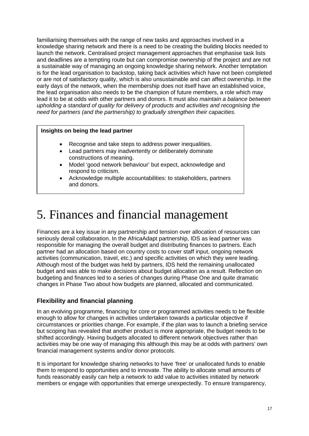familiarising themselves with the range of new tasks and approaches involved in a knowledge sharing network and there is a need to be creating the building blocks needed to launch the network. Centralised project management approaches that emphasise task lists and deadlines are a tempting route but can compromise ownership of the project and are not a sustainable way of managing an ongoing knowledge sharing network. Another temptation is for the lead organisation to backstop, taking back activities which have not been completed or are not of satisfactory quality, which is also unsustainable and can affect ownership. In the early days of the network, when the membership does not itself have an established voice, the lead organisation also needs to be the champion of future members, a role which may lead it to be at odds with other partners and donors. It must also *maintain a balance between upholding a standard of quality for delivery of products and activities and recognising the need for partners (and the partnership) to gradually strengthen their capacities.*

#### **Insights on being the lead partner**

- Recognise and take steps to address power inequalities.
- Lead partners may inadvertently or deliberately dominate constructions of meaning.
- Model 'good network behaviour' but expect, acknowledge and respond to criticism.
- Acknowledge multiple accountabilities: to stakeholders, partners and donors.

## 5. Finances and financial management

Finances are a key issue in any partnership and tension over allocation of resources can seriously derail collaboration. In the AfricaAdapt partnership, IDS as lead partner was responsible for managing the overall budget and distributing finances to partners. Each partner had an allocation based on country costs to cover staff input, ongoing network activities (communication, travel, etc.) and specific activities on which they were leading. Although most of the budget was held by partners, IDS held the remaining unallocated budget and was able to make decisions about budget allocation as a result. Reflection on budgeting and finances led to a series of changes during Phase One and quite dramatic changes in Phase Two about how budgets are planned, allocated and communicated.

## **Flexibility and financial planning**

In an evolving programme, financing for core or programmed activities needs to be flexible enough to allow for changes in activities undertaken towards a particular objective if circumstances or priorities change. For example, if the plan was to launch a briefing service but scoping has revealed that another product is more appropriate, the budget needs to be shifted accordingly. Having budgets allocated to different network objectives rather than activities may be one way of managing this although this may be at odds with partners' own financial management systems and/or donor protocols.

It is important for knowledge sharing networks to have 'free' or unallocated funds to enable them to respond to opportunities and to innovate. The ability to allocate small amounts of funds reasonably easily can help a network to add value to activities initiated by network members or engage with opportunities that emerge unexpectedly. To ensure transparency,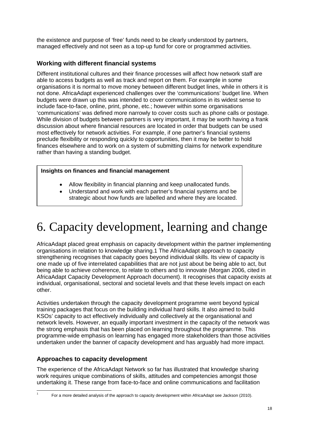the existence and purpose of 'free' funds need to be clearly understood by partners, managed effectively and not seen as a top-up fund for core or programmed activities.

## **Working with different financial systems**

Different institutional cultures and their finance processes will affect how network staff are able to access budgets as well as track and report on them. For example in some organisations it is normal to move money between different budget lines, while in others it is not done. AfricaAdapt experienced challenges over the 'communications' budget line. When budgets were drawn up this was intended to cover communications in its widest sense to include face-to-face, online, print, phone, etc.; however within some organisations 'communications' was defined more narrowly to cover costs such as phone calls or postage. While division of budgets between partners is very important, it may be worth having a frank discussion about where financial resources are located in order that budgets can be used most effectively for network activities. For example, if one partner's financial systems preclude flexibility or responding quickly to opportunities, then it may be better to hold finances elsewhere and to work on a system of submitting claims for network expenditure rather than having a standing budget.

### **Insights on finances and financial management**

- Allow flexibility in financial planning and keep unallocated funds.
- Understand and work with each partner's financial systems and be strategic about how funds are labelled and where they are located.

# 6. Capacity development, learning and change

AfricaAdapt placed great emphasis on capacity development within the partner implementing organisations in relation to knowledge sharing.1 The AfricaAdapt approach to capacity strengthening recognises that capacity goes beyond individual skills. Its view of capacity is one made up of five interrelated capabilities that are not just about be being able to act, but being able to achieve coherence, to relate to others and to innovate (Morgan 2006, cited in AfricaAdapt Capacity Development Approach document). It recognises that capacity exists at individual, organisational, sectoral and societal levels and that these levels impact on each other.

Activities undertaken through the capacity development programme went beyond typical training packages that focus on the building individual hard skills. It also aimed to build KSOs' capacity to act effectively individually and collectively at the organisational and network levels. However, an equally important investment in the capacity of the network was the strong emphasis that has been placed on learning throughout the programme. This programme-wide emphasis on learning has engaged more stakeholders than those activities undertaken under the banner of capacity development and has arguably had more impact.

## **Approaches to capacity development**

The experience of the AfricaAdapt Network so far has illustrated that knowledge sharing work requires unique combinations of skills, attitudes and competencies amongst those undertaking it. These range from face-to-face and online communications and facilitation

<sup>-</sup>1

For a more detailed analysis of the approach to capacity development within AfricaAdapt see Jackson (2010).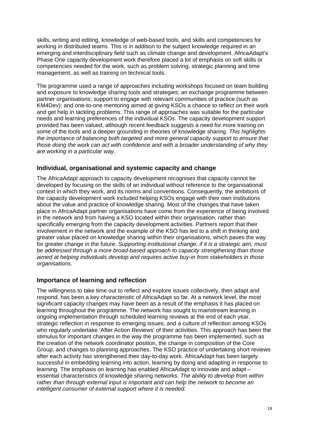skills, writing and editing, knowledge of web-based tools, and skills and competencies for working in distributed teams. This is in addition to the subject knowledge required in an emerging and interdisciplinary field such as climate change and development. AfricaAdapt's Phase One capacity development work therefore placed a lot of emphasis on soft skills or competencies needed for the work, such as problem solving, strategic planning and time management, as well as training on technical tools.

The programme used a range of approaches including workshops focused on team building and exposure to knowledge sharing tools and strategies; an exchange programme between partner organisations; support to engage with relevant communities of practice (such as KM4Dev); and one-to-one mentoring aimed at giving KSOs a chance to reflect on their work and get help in tackling problems. This range of approaches was suitable for the particular needs and learning preferences of the individual KSOs. The capacity development support provided has been valued, although recent feedback suggests a need for more training on some of the tools and a deeper grounding in theories of knowledge sharing. *This highlights the importance of balancing both targeted and more general capacity support to ensure that those doing the work can act with confidence and with a broader understanding of why they are working in a particular way.*

### **Individual, organisational and systemic capacity and change**

The AfricaAdapt approach to capacity development recognises that capacity cannot be developed by focusing on the skills of an individual without reference to the organisational context in which they work, and its norms and conventions. Consequently, the ambitions of the capacity development work included helping KSOs engage with their own institutions about the value and practice of knowledge sharing. Most of the changes that have taken place in AfricaAdapt partner organisations have come from the experience of being involved in the network and from having a KSO located within their organisation, rather than specifically emerging from the capacity development activities. Partners report that their involvement in the network and the example of the KSO has led to a shift in thinking and greater value placed on knowledge sharing within their organisations, which paves the way for greater change in the future. *Supporting institutional change, if it is a strategic aim, must be addressed through a more broad-based approach to capacity strengthening than those aimed at helping individuals develop and requires active buy-in from stakeholders in those organisations.*

## **Importance of learning and reflection**

The willingness to take time out to reflect and explore issues collectively, then adapt and respond, has been a key characteristic of AfricaAdapt so far. At a network level, the most significant capacity changes may have been as a result of the emphasis it has placed on learning throughout the programme. The network has sought to mainstream learning in ongoing implementation through scheduled learning reviews at the end of each year, strategic reflection in response to emerging issues, and a culture of reflection among KSOs who regularly undertake 'After Action Reviews' of their activities. This approach has been the stimulus for important changes in the way the programme has been implemented, such as the creation of the network coordinator position, the change in composition of the Core Group, and changes to planning approaches. The KSO practice of undertaking short reviews after each activity has strengthened their day-to-day work. AfricaAdapt has been largely successful in embedding learning into action, learning by doing and adapting in response to learning. The emphasis on learning has enabled AfricaAdapt to innovate and adapt – essential characteristics of knowledge sharing networks. *The ability to develop from within rather than through external input is important and can help the network to become an intelligent consumer of external support where it is needed.*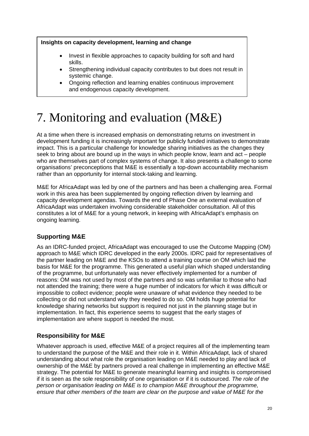#### **Insights on capacity development, learning and change**

- Invest in flexible approaches to capacity building for soft and hard skills.
- Strengthening individual capacity contributes to but does not result in systemic change.
- Ongoing reflection and learning enables continuous improvement and endogenous capacity development.

## 7. Monitoring and evaluation (M&E)

At a time when there is increased emphasis on demonstrating returns on investment in development funding it is increasingly important for publicly funded initiatives to demonstrate impact. This is a particular challenge for knowledge sharing initiatives as the changes they seek to bring about are bound up in the ways in which people know, learn and act – people who are themselves part of complex systems of change. It also presents a challenge to some organisations' preconceptions that M&E is essentially a top-down accountability mechanism rather than an opportunity for internal stock-taking and learning.

M&E for AfricaAdapt was led by one of the partners and has been a challenging area. Formal work in this area has been supplemented by ongoing reflection driven by learning and capacity development agendas. Towards the end of Phase One an external evaluation of AfricaAdapt was undertaken involving considerable stakeholder consultation. All of this constitutes a lot of M&E for a young network, in keeping with AfricaAdapt's emphasis on ongoing learning.

## **Supporting M&E**

As an IDRC-funded project, AfricaAdapt was encouraged to use the Outcome Mapping (OM) approach to M&E which IDRC developed in the early 2000s. IDRC paid for representatives of the partner leading on M&E and the KSOs to attend a training course on OM which laid the basis for M&E for the programme. This generated a useful plan which shaped understanding of the programme, but unfortunately was never effectively implemented for a number of reasons: OM was not used by most of the partners and so was unfamiliar to those who had not attended the training; there were a huge number of indicators for which it was difficult or impossible to collect evidence; people were unaware of what evidence they needed to be collecting or did not understand why they needed to do so. OM holds huge potential for knowledge sharing networks but support is required not just in the planning stage but in implementation. In fact, this experience seems to suggest that the early stages of implementation are where support is needed the most.

## **Responsibility for M&E**

Whatever approach is used, effective M&E of a project requires all of the implementing team to understand the purpose of the M&E and their role in it. Within AfricaAdapt, lack of shared understanding about what role the organisation leading on M&E needed to play and lack of ownership of the M&E by partners proved a real challenge in implementing an effective M&E strategy. The potential for M&E to generate meaningful learning and insights is compromised if it is seen as the sole responsibility of one organisation or if it is outsourced. *The role of the person or organisation leading on M&E is to champion M&E throughout the programme, ensure that other members of the team are clear on the purpose and value of M&E for the*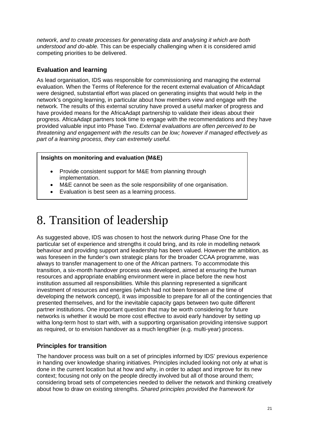*network, and to create processes for generating data and analysing it which are both understood and do-able.* This can be especially challenging when it is considered amid competing priorities to be delivered.

## **Evaluation and learning**

As lead organisation, IDS was responsible for commissioning and managing the external evaluation. When the Terms of Reference for the recent external evaluation of AfricaAdapt were designed, substantial effort was placed on generating insights that would help in the network's ongoing learning, in particular about how members view and engage with the network. The results of this external scrutiny have proved a useful marker of progress and have provided means for the AfricaAdapt partnership to validate their ideas about their progress. AfricaAdapt partners took time to engage with the recommendations and they have provided valuable input into Phase Two. *External evaluations are often perceived to be threatening and engagement with the results can be low; however if managed effectively as part of a learning process, they can extremely useful.*

#### **Insights on monitoring and evaluation (M&E)**

- Provide consistent support for M&E from planning through implementation.
- M&E cannot be seen as the sole responsibility of one organisation.
- Evaluation is best seen as a learning process.

## 8. Transition of leadership

As suggested above, IDS was chosen to host the network during Phase One for the particular set of experience and strengths it could bring, and its role in modelling network behaviour and providing support and leadership has been valued. However the ambition, as was foreseen in the funder's own strategic plans for the broader CCAA programme, was always to transfer management to one of the African partners. To accommodate this transition, a six-month handover process was developed, aimed at ensuring the human resources and appropriate enabling environment were in place before the new host institution assumed all responsibilities. While this planning represented a significant investment of resources and energies (which had not been foreseen at the time of developing the network concept), it was impossible to prepare for all of the contingencies that presented themselves, and for the inevitable capacity gaps between two quite different partner institutions. One important question that may be worth considering for future networks is whether it would be more cost effective to avoid early handover by setting up witha long-term host to start with, with a supporting organisation providing intensive support as required, or to envision handover as a much lengthier (e.g. multi-year) process.

## **Principles for transition**

The handover process was built on a set of principles informed by IDS' previous experience in handing over knowledge sharing initiatives. Principles included looking not only at what is done in the current location but at how and why, in order to adapt and improve for its new context; focusing not only on the people directly involved but all of those around them; considering broad sets of competencies needed to deliver the network and thinking creatively about how to draw on existing strengths. *Shared principles provided the framework for*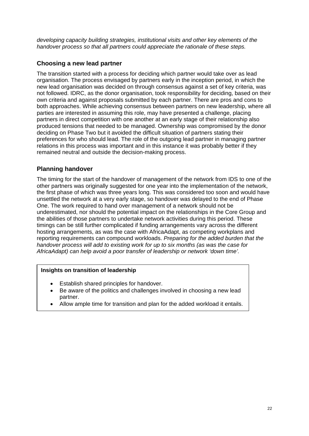*developing capacity building strategies, institutional visits and other key elements of the handover process so that all partners could appreciate the rationale of these steps.*

## **Choosing a new lead partner**

The transition started with a process for deciding which partner would take over as lead organisation. The process envisaged by partners early in the inception period, in which the new lead organisation was decided on through consensus against a set of key criteria, was not followed. IDRC, as the donor organisation, took responsibility for deciding, based on their own criteria and against proposals submitted by each partner. There are pros and cons to both approaches. While achieving consensus between partners on new leadership, where all parties are interested in assuming this role, may have presented a challenge, placing partners in direct competition with one another at an early stage of their relationship also produced tensions that needed to be managed. Ownership was compromised by the donor deciding on Phase Two but it avoided the difficult situation of partners stating their preferences for who should lead. The role of the outgoing lead partner in managing partner relations in this process was important and in this instance it was probably better if they remained neutral and outside the decision-making process.

## **Planning handover**

The timing for the start of the handover of management of the network from IDS to one of the other partners was originally suggested for one year into the implementation of the network, the first phase of which was three years long. This was considered too soon and would have unsettled the network at a very early stage, so handover was delayed to the end of Phase One. The work required to hand over management of a network should not be underestimated, nor should the potential impact on the relationships in the Core Group and the abilities of those partners to undertake network activities during this period. These timings can be still further complicated if funding arrangements vary across the different hosting arrangements, as was the case with AfricaAdapt, as competing workplans and reporting requirements can compound workloads. *Preparing for the added burden that the handover process will add to existing work for up to six months (as was the case for AfricaAdapt) can help avoid a poor transfer of leadership or network 'down time'.*

#### **Insights on transition of leadership**

- Establish shared principles for handover.
- Be aware of the politics and challenges involved in choosing a new lead partner.
- Allow ample time for transition and plan for the added workload it entails.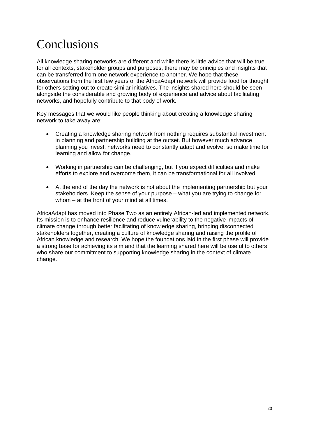## **Conclusions**

All knowledge sharing networks are different and while there is little advice that will be true for all contexts, stakeholder groups and purposes, there may be principles and insights that can be transferred from one network experience to another. We hope that these observations from the first few years of the AfricaAdapt network will provide food for thought for others setting out to create similar initiatives. The insights shared here should be seen alongside the considerable and growing body of experience and advice about facilitating networks, and hopefully contribute to that body of work.

Key messages that we would like people thinking about creating a knowledge sharing network to take away are:

- Creating a knowledge sharing network from nothing requires substantial investment in planning and partnership building at the outset. But however much advance planning you invest, networks need to constantly adapt and evolve, so make time for learning and allow for change.
- Working in partnership can be challenging, but if you expect difficulties and make efforts to explore and overcome them, it can be transformational for all involved.
- At the end of the day the network is not about the implementing partnership but your stakeholders. Keep the sense of your purpose – what you are trying to change for whom – at the front of your mind at all times.

AfricaAdapt has moved into Phase Two as an entirely African-led and implemented network. Its mission is to enhance resilience and reduce vulnerability to the negative impacts of climate change through better facilitating of knowledge sharing, bringing disconnected stakeholders together, creating a culture of knowledge sharing and raising the profile of African knowledge and research. We hope the foundations laid in the first phase will provide a strong base for achieving its aim and that the learning shared here will be useful to others who share our commitment to supporting knowledge sharing in the context of climate change.